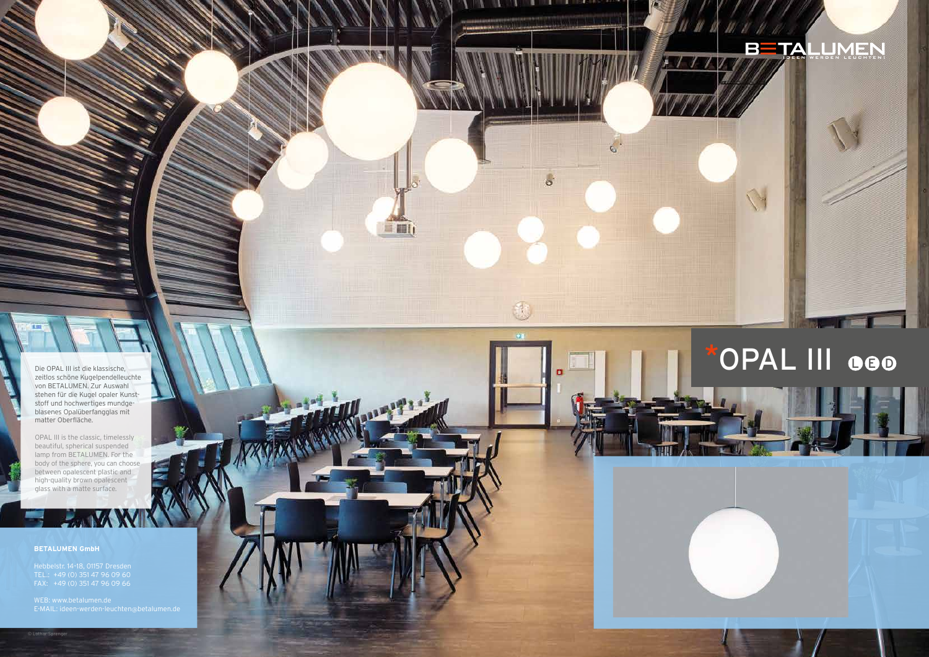Die OPAL III ist die klassische, zeitlos schöne Kugelpendelleuchte von BETALUMEN. Zur Auswahl stehen für die Kugel opaler Kunst stoff und hochwertiges mundge blasenes Opalüberfangglas mit matter Oberfläche.

OPAL III is the classic, timelessly beautiful, spherical suspended lamp from BETALUMEN. For the body of the sphere, you can choose between opalescent plastic and high-quality brown opalescent glass with a matte surface.

## **BETALUMEN GmbH**

TEL.: +49 (0) 351 47 96 09 60



# \*OPAL III OOO

 $\circ$ 

n

 $\overline{\mathcal{A}}$ 

**Hall**